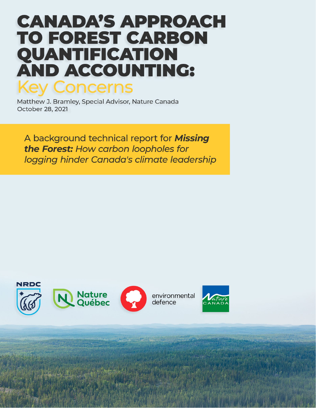# **CANADA'S APPROACH TO FOREST CARBON** QUANTIFICATION **AND ACCOUNTING: Key Concerns**

Matthew J. Bramley, Special Advisor, Nature Canada October 28, 2021

A background technical report for Missing the Forest: How carbon loopholes for logging hinder Canada's climate leadership

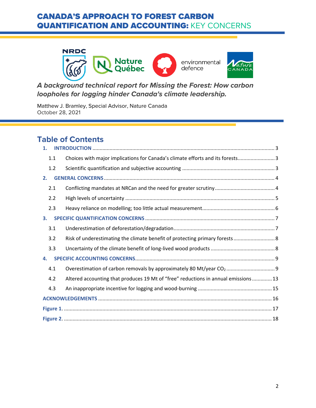

*A background technical report for Missing the Forest: How carbon loopholes for logging hinder Canada's climate leadership.*

Matthew J. Bramley, Special Advisor, Nature Canada October 28, 2021

# **Table of Contents**

| 1.  |                                                                                    |
|-----|------------------------------------------------------------------------------------|
| 1.1 | Choices with major implications for Canada's climate efforts and its forests 3     |
| 1.2 |                                                                                    |
| 2.  |                                                                                    |
| 2.1 |                                                                                    |
| 2.2 |                                                                                    |
| 2.3 |                                                                                    |
| 3.  |                                                                                    |
| 3.1 |                                                                                    |
| 3.2 | Risk of underestimating the climate benefit of protecting primary forests 8        |
| 3.3 |                                                                                    |
| 4.  |                                                                                    |
| 4.1 |                                                                                    |
| 4.2 | Altered accounting that produces 19 Mt of "free" reductions in annual emissions 13 |
| 4.3 |                                                                                    |
|     |                                                                                    |
|     |                                                                                    |
|     |                                                                                    |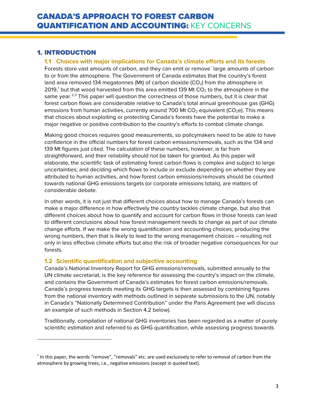### <span id="page-2-1"></span><span id="page-2-0"></span>1. INTRODUCTION

 $\overline{\phantom{a}}$ 

### **1.1 Choices with major implications for Canada's climate efforts and its forests**

Forests store vast amounts of carbon, and they can emit or remove<sup>[\\*](#page-2-3)</sup> large amounts of carbon to or from the atmosphere. The Government of Canada estimates that the country's forest land area removed 134 megatonnes (Mt) of carbon dioxide  $(CO<sub>2</sub>)$  from the atmosphere in 20[1](#page-19-0)9,<sup>1</sup> but that wood harvested from this area emitted 139 Mt  $CO<sub>2</sub>$  to the atmosphere in the same year.<sup>[2,](#page-19-1)[3](#page-19-2)</sup> This paper will question the correctness of those numbers, but it is clear that forest carbon flows are considerable relative to Canada's total annual greenhouse gas (GHG) emissions from human activities, currently around 700 Mt  $CO<sub>2</sub>$  equivalent ( $CO<sub>2</sub>e$ ). This means that choices about exploiting or protecting Canada's forests have the potential to make a major negative or positive contribution to the country's efforts to combat climate change.

Making good choices requires good measurements, so policymakers need to be able to have confidence in the official numbers for forest carbon emissions/removals, such as the 134 and 139 Mt figures just cited. The calculation of these numbers, however, is far from straightforward, and their reliability should not be taken for granted. As this paper will elaborate, the scientific task of estimating forest carbon flows is complex and subject to large uncertainties; and deciding which flows to include or exclude depending on whether they are attributed to human activities, and how forest carbon emissions/removals should be counted towards national GHG emissions targets (or corporate emissions totals), are matters of considerable debate.

In other words, it is not just that different choices about how to manage Canada's forests can make a major difference in how effectively the country tackles climate change, but also that different choices about how to quantify and account for carbon flows in those forests can lead to different conclusions about how forest management needs to change as part of our climate change efforts. If we make the wrong quantification and accounting choices, producing the wrong numbers, then that is likely to lead to the wrong management choices – resulting not only in less effective climate efforts but also the risk of broader negative consequences for our forests.

### <span id="page-2-2"></span>**1.2 Scientific quantification and subjective accounting**

Canada's National Inventory Report for GHG emissions/removals, submitted annually to the UN climate secretariat, is the key reference for assessing the country's impact on the climate, and contains the Government of Canada's estimates for forest carbon emissions/removals. Canada's progress towards meeting its GHG targets is then assessed by combining figures from the national inventory with methods outlined in separate submissions to the UN, notably in Canada's "Nationally Determined Contribution" under the Paris Agreement (we will discuss an example of such methods in Section [4.2](#page-12-0) below).

Traditionally, compilation of national GHG inventories has been regarded as a matter of purely scientific estimation and referred to as GHG quantification, while assessing progress towards

<span id="page-2-3"></span><sup>\*</sup> In this paper, the words "remove", "removals" etc. are used exclusively to refer to removal of carbon from the atmosphere by growing trees, i.e., negative emissions (except in quoted text).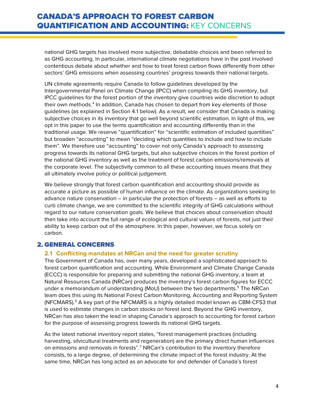national GHG targets has involved more subjective, debatable choices and been referred to as GHG accounting. In particular, international climate negotiations have in the past involved contentious debate about whether and how to treat forest carbon flows differently from other sectors' GHG emissions when assessing countries' progress towards their national targets.

UN climate agreements require Canada to follow guidelines developed by the Intergovernmental Panel on Climate Change (IPCC) when compiling its GHG inventory, but IPCC guidelines for the forest portion of the inventory give countries wide discretion to adopt their own methods. [4](#page-19-3) In addition, Canada has chosen to depart from key elements of those guidelines (as explained in Section [4.1](#page-8-1) below). As a result, we consider that Canada is making subjective choices in its inventory that go well beyond scientific estimation. In light of this, we opt in this paper to use the terms quantification and accounting differently than in the traditional usage. We reserve "quantification" for "scientific estimation of included quantities" but broaden "accounting" to mean "deciding which quantities to include and how to include them". We therefore use "accounting" to cover not only Canada's approach to assessing progress towards its national GHG targets, but also subjective choices in the forest portion of the national GHG inventory as well as the treatment of forest carbon emissions/removals at the corporate level. The subjectivity common to all these accounting issues means that they all ultimately involve policy or political judgement.

We believe strongly that forest carbon quantification and accounting should provide as accurate a picture as possible of human influence on the climate. As organizations seeking to advance nature conservation – in particular the protection of forests – as well as efforts to curb climate change, we are committed to the scientific integrity of GHG calculations without regard to our nature conservation goals. We believe that choices about conservation should then take into account the full range of ecological and cultural values of forests, not just their ability to keep carbon out of the atmosphere. In this paper, however, we focus solely on carbon.

### <span id="page-3-1"></span><span id="page-3-0"></span>2. GENERAL CONCERNS

#### **2.1 Conflicting mandates at NRCan and the need for greater scrutiny**

The Government of Canada has, over many years, developed a sophisticated approach to forest carbon quantification and accounting. While Environment and Climate Change Canada (ECCC) is responsible for preparing and submitting the national GHG inventory, a team at Natural Resources Canada (NRCan) produces the inventory's forest carbon figures for ECCC under a memorandum of understanding (MoU) between the two departments.<sup>[5](#page-19-4)</sup> The NRCan team does this using its National Forest Carbon Monitoring, Accounting and Reporting System (NFCMARS). $<sup>6</sup>$  $<sup>6</sup>$  $<sup>6</sup>$  A key part of the NFCMARS is a highly detailed model known as CBM-CFS3 that</sup> is used to estimate changes in carbon stocks on forest land. Beyond the GHG inventory, NRCan has also taken the lead in shaping Canada's approach to accounting for forest carbon for the purpose of assessing progress towards its national GHG targets.

As the latest national inventory report states, "forest management practices (including harvesting, silvicultural treatments and regeneration) are the primary direct human influences on emissions and removals in forests".<sup>[7](#page-19-6)</sup> NRCan's contribution to the inventory therefore consists, to a large degree, of determining the climate impact of the forest industry. At the same time, NRCan has long acted as an advocate for and defender of Canada's forest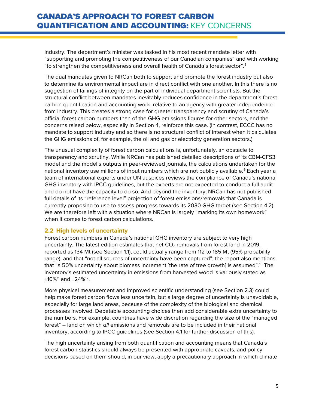industry. The department's minister was tasked in his most recent mandate letter with "supporting and promoting the competitiveness of our Canadian companies" and with working "to strengthen the competitiveness and overall health of Canada's forest sector".<sup>[8](#page-19-7)</sup>

The dual mandates given to NRCan both to support and promote the forest industry but also to determine its environmental impact are in direct conflict with one another. In this there is no suggestion of failings of integrity on the part of individual department scientists. But the structural conflict between mandates inevitably reduces confidence in the department's forest carbon quantification and accounting work, relative to an agency with greater independence from industry. This creates a strong case for greater transparency and scrutiny of Canada's official forest carbon numbers than of the GHG emissions figures for other sectors, and the concerns raised below, especially in Section 4, reinforce this case. (In contrast, ECCC has no mandate to support industry and so there is no structural conflict of interest when it calculates the GHG emissions of, for example, the oil and gas or electricity generation sectors.)

The unusual complexity of forest carbon calculations is, unfortunately, an obstacle to transparency and scrutiny. While NRCan has published detailed descriptions of its CBM-CFS3 model and the model's outputs in peer-reviewed journals, the calculations undertaken for the national inventory use millions of input numbers which are not publicly available. [9](#page-19-8) Each year a team of international experts under UN auspices reviews the compliance of Canada's national GHG inventory with IPCC guidelines, but the experts are not expected to conduct a full audit and do not have the capacity to do so. And beyond the inventory, NRCan has not published full details of its "reference level" projection of forest emissions/removals that Canada is currently proposing to use to assess progress towards its 2030 GHG target (see Section [4.2\)](#page-12-0). We are therefore left with a situation where NRCan is largely "marking its own homework" when it comes to forest carbon calculations.

### <span id="page-4-0"></span>**2.2 High levels of uncertainty**

Forest carbon numbers in Canada's national GHG inventory are subject to very high uncertainty. The latest edition estimates that net  $CO<sub>2</sub>$  removals from forest land in 2019, reported as 134 Mt (see Section [1.1\)](#page-2-1), could actually range from 112 to 185 Mt (95% probability range), and that "not all sources of uncertainty have been captured"; the report also mentions that "a 50% uncertainty about biomass increment [the rate of tree growth] is assumed".<sup>[10](#page-19-9)</sup> The inventory's estimated uncertainty in emissions from harvested wood is variously stated as  $±10\%$ <sup>[11](#page-19-10)</sup> and  $±24\%$ <sup>12</sup>.

More physical measurement and improved scientific understanding (see Section [2.3\)](#page-5-0) could help make forest carbon flows less uncertain, but a large degree of uncertainty is unavoidable, especially for large land areas, because of the complexity of the biological and chemical processes involved. Debatable accounting choices then add considerable extra uncertainty to the numbers. For example, countries have wide discretion regarding the size of the "managed forest" – land on which *all* emissions and removals are to be included in their national inventory, according to IPCC guidelines (see Section [4.1](#page-8-1) for further discussion of this).

The high uncertainty arising from both quantification and accounting means that Canada's forest carbon statistics should always be presented with appropriate caveats, and policy decisions based on them should, in our view, apply a precautionary approach in which climate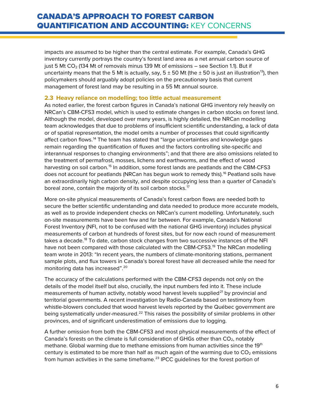impacts are assumed to be higher than the central estimate. For example, Canada's GHG inventory currently portrays the country's forest land area as a net annual carbon source of just 5 Mt CO<sub>2</sub> (134 Mt of removals minus 139 Mt of emissions - see Section [1.1\)](#page-2-1). But if uncertainty means that the 5 Mt is actually, say,  $5 \pm 50$  Mt (the  $\pm 50$  is just an illustration<sup>[13](#page-20-1)</sup>), then policymakers should arguably adopt policies on the precautionary basis that current management of forest land may be resulting in a 55 Mt annual source.

#### <span id="page-5-0"></span>**2.3 Heavy reliance on modelling; too little actual measurement**

As noted earlier, the forest carbon figures in Canada's national GHG inventory rely heavily on NRCan's CBM-CFS3 model, which is used to estimate changes in carbon stocks on forest land. Although the model, developed over many years, is highly detailed, the NRCan modelling team acknowledges that due to problems of insufficient scientific understanding, a lack of data or of spatial representation, the model omits a number of processes that could significantly affect carbon flows.[14](#page-20-2) The team has stated that "large uncertainties and knowledge gaps remain regarding the quantification of fluxes and the factors controlling site-specific and interannual responses to changing environments"; and that there are also omissions related to the treatment of permafrost, mosses, lichens and earthworms, and the effect of wood harvesting on soil carbon.<sup>[15](#page-20-3)</sup> In addition, some forest lands are peatlands and the CBM-CFS3 does not account for peatlands (NRCan has begun work to remedy this). [16](#page-20-4) Peatland soils have an extraordinarily high carbon density, and despite occupying less than a quarter of Canada's boreal zone, contain the majority of its soil carbon stocks.<sup>[17](#page-20-5)</sup>

More on-site physical measurements of Canada's forest carbon flows are needed both to secure the better scientific understanding and data needed to produce more accurate models, as well as to provide independent checks on NRCan's current modelling. Unfortunately, such on-site measurements have been few and far between. For example, Canada's National Forest Inventory (NFI, not to be confused with the national GHG inventory) includes physical measurements of carbon at hundreds of forest sites, but for now each round of measurement takes a decade. [18](#page-20-6) To date, carbon stock changes from two successive instances of the NFI have not been compared with those calculated with the CBM-CFS3.<sup>[19](#page-20-7)</sup> The NRCan modelling team wrote in 2013: "In recent years, the numbers of climate-monitoring stations, permanent sample plots, and flux towers in Canada's boreal forest have all decreased while the need for monitoring data has increased". [20](#page-20-8)

The accuracy of the calculations performed with the CBM-CFS3 depends not only on the details of the model itself but also, crucially, the input numbers fed into it. These include measurements of human activity, notably wood harvest levels supplied<sup>[21](#page-20-9)</sup> by provincial and territorial governments. A recent investigation by Radio-Canada based on testimony from whistle-blowers concluded that wood harvest levels reported by the Québec government are being systematically under-measured.<sup>[22](#page-20-10)</sup> This raises the possibility of similar problems in other provinces, and of significant underestimation of emissions due to logging.

A further omission from both the CBM-CFS3 and most physical measurements of the effect of Canada's forests on the climate is full consideration of GHGs other than  $CO<sub>2</sub>$ , notably methane. Global warming due to methane emissions from human activities since the 19<sup>th</sup> century is estimated to be more than half as much again of the warming due to  $CO<sub>2</sub>$  emissions from human activities in the same timeframe.<sup>[23](#page-20-11)</sup> IPCC guidelines for the forest portion of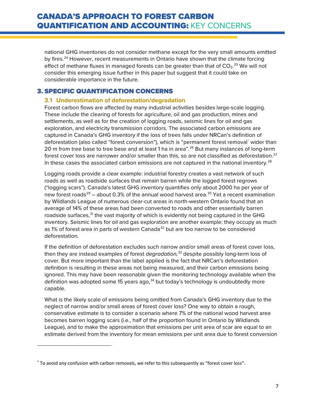national GHG inventories do not consider methane except for the very small amounts emitted by fires.<sup>[24](#page-20-12)</sup> However, recent measurements in Ontario have shown that the climate forcing effect of methane fluxes in managed forests can be greater than that of  $CO_2$ .<sup>[25](#page-20-13)</sup> We will not consider this emerging issue further in this paper but suggest that it could take on considerable importance in the future.

### <span id="page-6-1"></span><span id="page-6-0"></span>3. SPECIFIC QUANTIFICATION CONCERNS

### **3.1 Underestimation of deforestation/degradation**

Forest carbon flows are affected by many industrial activities besides large-scale logging. These include the clearing of forests for agriculture, oil and gas production, mines and settlements, as well as for the creation of logging roads, seismic lines for oil and gas exploration, and electricity transmission corridors. The associated carbon emissions are captured in Canada's GHG inventory if the loss of trees falls under NRCan's definition of deforestation (also called "forest conversion"), which is "permanent forest removal<sup>[\\*](#page-6-2)</sup> wider than 20 m from tree base to tree base and at least 1 ha in area".<sup>[26](#page-20-14)</sup> But many instances of long-term forest cover loss are narrower and/or smaller than this, so are not classified as deforestation. $^{27}$  $^{27}$  $^{27}$ In these cases the associated carbon emissions are not captured in the national inventory.<sup>[28](#page-20-16)</sup>

Logging roads provide a clear example: industrial forestry creates a vast network of such roads as well as roadside surfaces that remain barren while the logged forest regrows ("logging scars"). Canada's latest GHG inventory quantifies only about 2000 ha per year of new forest roads<sup>[29](#page-20-17)</sup> – about 0.3% of the annual wood harvest area.<sup>[30](#page-20-18)</sup> Yet a recent examination by Wildlands League of numerous clear-cut areas in north-western Ontario found that an average of 14% of these areas had been converted to roads and other essentially barren roadside surfaces,<sup>[31](#page-20-19)</sup> the vast majority of which is evidently not being captured in the GHG inventory. Seismic lines for oil and gas exploration are another example: they occupy as much as 1% of forest area in parts of western Canada<sup>[32](#page-20-20)</sup> but are too narrow to be considered deforestation.

If the definition of deforestation excludes such narrow and/or small areas of forest cover loss, then they are instead examples of forest *degradation,* [33](#page-20-21) despite possibly long-term loss of cover. But more important than the label applied is the fact that NRCan's deforestation definition is resulting in these areas not being measured, and their carbon emissions being ignored. This may have been reasonable given the monitoring technology available when the definition was adopted some 15 years ago, $34$  but today's technology is undoubtedly more capable.

What is the likely scale of emissions being omitted from Canada's GHG inventory due to the neglect of narrow and/or small areas of forest cover loss? One way to obtain a rough, conservative estimate is to consider a scenario where 7% of the national wood harvest area becomes barren logging scars (i.e., half of the proportion found in Ontario by Wildlands League), and to make the approximation that emissions per unit area of scar are equal to an estimate derived from the inventory for mean emissions per unit area due to forest conversion

 $\overline{\phantom{a}}$ 

<span id="page-6-2"></span><sup>\*</sup> To avoid any confusion with carbon removals, we refer to this subsequently as "forest cover loss".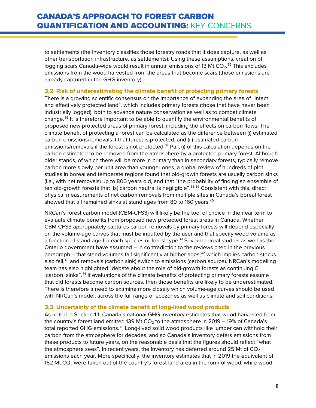to settlements (the inventory classifies those forestry roads that it does capture, as well as other transportation infrastructure, as settlements). Using these assumptions, creation of logging scars Canada-wide would result in annual emissions of 13 Mt  $CO<sub>2</sub>$ .<sup>[35](#page-20-23)</sup> This excludes emissions from the wood harvested from the areas that become scars (those emissions are already captured in the GHG inventory).

#### <span id="page-7-0"></span>**3.2 Risk of underestimating the climate benefit of protecting primary forests**

There is a growing scientific consensus on the importance of expanding the area of "intact and effectively protected land", which includes primary forests (those that have never been industrially logged), both to advance nature conservation as well as to combat climate change. [36](#page-20-24) It is therefore important to be able to quantify the environmental benefits of proposed new protected areas of primary forest, including the effects on carbon flows. The climate benefit of protecting a forest can be calculated as the difference between (i) estimated carbon emissions/removals if that forest is protected, and (ii) estimated carbon emissions/removals if the forest is not protected.<sup>[37](#page-20-25)</sup> Part (i) of this calculation depends on the carbon estimated to be removed from the atmosphere by a protected primary forest. Although older stands, of which there will be more in primary than in secondary forests, typically remove carbon more slowly per unit area than younger ones, a global review of hundreds of plot studies in boreal and temperate regions found that old-growth forests are usually carbon sinks (i.e., with net removals) up to 800 years old, and that "the probability of finding an ensemble of ten old-growth forests that [is] carbon neutral is negligible".<sup>[38,](#page-20-26)[39](#page-21-0)</sup> Consistent with this, direct physical measurements of net carbon removals from multiple sites in Canada's boreal forest showed that all remained sinks at stand ages from 80 to 160 years.<sup>[40](#page-21-1)</sup>

NRCan's forest carbon model (CBM-CFS3) will likely be the tool of choice in the near term to evaluate climate benefits from proposed new protected forest areas in Canada. Whether CBM-CFS3 appropriately captures carbon removals by primary forests will depend especially on the volume-age curves that must be inputted by the user and that specify wood volume as a function of stand age for each species or forest type. [41](#page-21-2) Several boreal studies as well as the Ontario government have assumed – in contradiction to the reviews cited in the previous paragraph – that stand volumes fall significantly at higher ages, $42$  which implies carbon stocks also fall,<sup>[43](#page-21-4)</sup> and removals (carbon sink) switch to emissions (carbon source). NRCan's modelling team has also highlighted "debate about the role of old-growth forests as continuing C [carbon] sinks".<sup>[44](#page-21-5)</sup> If evaluations of the climate benefits of protecting primary forests assume that old forests become carbon sources, then those benefits are likely to be underestimated. There is therefore a need to examine more closely which volume-age curves should be used with NRCan's model, across the full range of ecozones as well as climate and soil conditions.

#### <span id="page-7-1"></span>**3.3 Uncertainty of the climate benefit of long-lived wood products**

As noted in Section [1.1,](#page-2-1) Canada's national GHG inventory estimates that wood harvested from the country's forest land emitted 139 Mt  $CO<sub>2</sub>$  to the atmosphere in 2019 – 19% of Canada's total reported GHG emissions. [45](#page-21-6) Long-lived solid wood products like lumber can withhold their carbon from the atmosphere for decades, and so Canada's inventory defers emissions from these products to future years, on the reasonable basis that the figures should reflect "what the atmosphere sees". In recent years, the inventory has deferred around 25 Mt of  $CO<sub>2</sub>$ emissions each year. More specifically, the inventory estimates that in 2019 the equivalent of 162 Mt  $CO<sub>2</sub>$  were taken out of the country's forest land area in the form of wood; while wood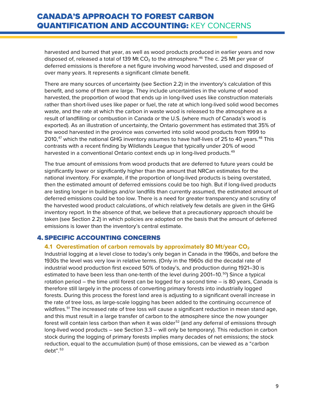harvested and burned that year, as well as wood products produced in earlier years and now disposed of, released a total of 139 Mt  $CO<sub>2</sub>$  to the atmosphere.<sup>[46](#page-21-7)</sup> The c. 25 Mt per year of deferred emissions is therefore a net figure involving wood harvested, used and disposed of over many years. It represents a significant climate benefit.

There are many sources of uncertainty (see Section [2.2\)](#page-4-0) in the inventory's calculation of this benefit, and some of them are large. They include uncertainties in the volume of wood harvested, the proportion of wood that ends up in long-lived uses like construction materials rather than short-lived uses like paper or fuel, the rate at which long-lived solid wood becomes waste, and the rate at which the carbon in waste wood is released to the atmosphere as a result of landfilling or combustion in Canada or the U.S. (where much of Canada's wood is exported). As an illustration of uncertainty, the Ontario government has estimated that 35% of the wood harvested in the province was converted into solid wood products from 1999 to 2010, $^{47}$  $^{47}$  $^{47}$  which the national GHG inventory assumes to have half-lives of 25 to 40 years. $^{48}$  $^{48}$  $^{48}$  This contrasts with a recent finding by Wildlands League that typically under 20% of wood harvested in a conventional Ontario context ends up in long-lived products. [49](#page-21-10)

The true amount of emissions from wood products that are deferred to future years could be significantly lower or significantly higher than the amount that NRCan estimates for the national inventory. For example, if the proportion of long-lived products is being overstated, then the estimated amount of deferred emissions could be too high. But if long-lived products are lasting longer in buildings and/or landfills than currently assumed, the estimated amount of deferred emissions could be too low. There is a need for greater transparency and scrutiny of the harvested wood product calculations, of which relatively few details are given in the GHG inventory report. In the absence of that, we believe that a precautionary approach should be taken (see Section [2.2\)](#page-4-0) in which policies are adopted on the basis that the amount of deferred emissions is lower than the inventory's central estimate.

### <span id="page-8-1"></span><span id="page-8-0"></span>4. SPECIFIC ACCOUNTING CONCERNS

#### **4.1 Overestimation of carbon removals by approximately 80 Mt/year CO2**

Industrial logging at a level close to today's only began in Canada in the 1960s, and before the 1930s the level was very low in relative terms. (Only in the 1960s did the decadal rate of industrial wood production first exceed 50% of today's, and production during 1921–30 is estimated to have been less than one-tenth of the level during 2001–10.<sup>[50](#page-21-11)</sup>) Since a typical rotation period – the time until forest can be logged for a second time – is 80 years, Canada is therefore still largely in the process of converting primary forests into industrially logged forests. During this process the forest land area is adjusting to a significant overall increase in the rate of tree loss, as large-scale logging has been added to the continuing occurrence of wildfires.<sup>[51](#page-21-12)</sup> The increased rate of tree loss will cause a significant reduction in mean stand age, and this must result in a large transfer of carbon to the atmosphere since the now younger forest will contain less carbon than when it was older<sup>[52](#page-21-13)</sup> (and any deferral of emissions through long-lived wood products – see Section [3.3](#page-7-1) – will only be temporary). This reduction in carbon stock during the logging of primary forests implies many decades of net emissions; the stock reduction, equal to the accumulation (sum) of those emissions, can be viewed as a "carbon  $debt".$ <sup>[53](#page-21-14)</sup>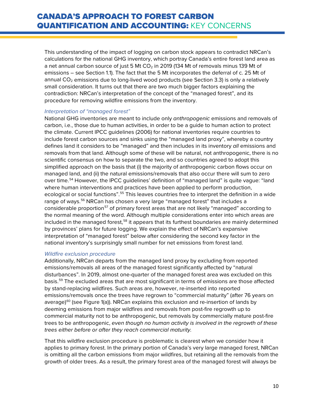This understanding of the impact of logging on carbon stock appears to contradict NRCan's calculations for the national GHG inventory, which portray Canada's entire forest land area as a net annual carbon source of just 5 Mt  $CO<sub>2</sub>$  in 2019 (134 Mt of removals minus 139 Mt of emissions – see Section [1.1\)](#page-2-1). The fact that the 5 Mt incorporates the deferral of c. 25 Mt of annual  $CO<sub>2</sub>$  emissions due to long-lived wood products (see Section [3.3\)](#page-7-1) is only a relatively small consideration. It turns out that there are two much bigger factors explaining the contradiction: NRCan's interpretation of the concept of the "managed forest", and its procedure for removing wildfire emissions from the inventory.

#### *Interpretation of "managed forest"*

National GHG inventories are meant to include only *anthropogenic* emissions and removals of carbon, i.e., those due to human activities, in order to be a guide to human action to protect the climate. Current IPCC guidelines (2006) for national inventories require countries to include forest carbon sources and sinks using the "managed land proxy", whereby a country defines land it considers to be "managed" and then includes in its inventory *all* emissions and removals from that land. Although some of these will be natural, not anthropogenic, there is no scientific consensus on how to separate the two, and so countries agreed to adopt this simplified approach on the basis that (i) the majority of anthropogenic carbon flows occur on managed land, and (ii) the natural emissions/removals that also occur there will sum to zero over time.[54](#page-21-15) However, the IPCC guidelines' definition of "managed land" is quite vague: "land where human interventions and practices have been applied to perform production, ecological or social functions".<sup>[55](#page-21-16)</sup> This leaves countries free to interpret the definition in a wide range of ways. [56](#page-21-17) NRCan has chosen a very large "managed forest" that includes a considerable proportion<sup>[57](#page-21-18)</sup> of primary forest areas that are not likely "managed" according to the normal meaning of the word. Although multiple considerations enter into which areas are included in the managed forest,<sup>[58](#page-21-19)</sup> it appears that its furthest boundaries are mainly determined by provinces' plans for future logging. We explain the effect of NRCan's expansive interpretation of "managed forest" below after considering the second key factor in the national inventory's surprisingly small number for net emissions from forest land.

#### *Wildfire exclusion procedure*

Additionally, NRCan departs from the managed land proxy by excluding from reported emissions/removals all areas of the managed forest significantly affected by "natural disturbances". In 2019, almost one-quarter of the managed forest area was excluded on this basis.[59](#page-21-20) The excluded areas that are most significant in terms of emissions are those affected by stand-replacing wildfires. Such areas are, however, re-inserted into reported emissions/removals once the trees have regrown to "commercial maturity" (after 76 years on average)<sup>[60](#page-21-21)</sup> (see Figure 1(a)). NRCan explains this exclusion and re-insertion of lands by deeming emissions from major wildfires and removals from post-fire regrowth up to commercial maturity not to be anthropogenic, but removals by commercially mature post-fire trees to be anthropogenic, *even though no human activity is involved in the regrowth of these trees either before or after they reach commercial maturity.*

That this wildfire exclusion procedure is problematic is clearest when we consider how it applies to primary forest. In the primary portion of Canada's very large managed forest, NRCan is omitting all the carbon emissions from major wildfires, but retaining all the removals from the growth of older trees. As a result, the primary forest area of the managed forest will always be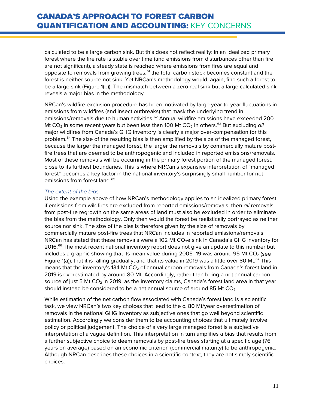calculated to be a large carbon sink. But this does not reflect reality: in an idealized primary forest where the fire rate is stable over time (and emissions from disturbances other than fire are not significant), a steady state is reached where emissions from fires are equal and opposite to removals from growing trees:<sup>[61](#page-21-22)</sup> the total carbon stock becomes constant and the forest is neither source not sink. Yet NRCan's methodology would, again, find such a forest to be a large sink (Figure 1(b)). The mismatch between a zero real sink but a large calculated sink reveals a major bias in the methodology.

NRCan's wildfire exclusion procedure has been motivated by large year-to-year fluctuations in emissions from wildfires (and insect outbreaks) that mask the underlying trend in emissions/removals due to human activities.<sup>[62](#page-21-23)</sup> Annual wildfire emissions have exceeded 200 Mt CO<sub>2</sub> in some recent years but been less than 100 Mt CO<sub>2</sub> in others.<sup>[63](#page-21-24)</sup> But excluding *all* major wildfires from Canada's GHG inventory is clearly a major over-compensation for this problem.<sup>[64](#page-21-25)</sup> The size of the resulting bias is then amplified by the size of the managed forest, because the larger the managed forest, the larger the removals by commercially mature postfire trees that are deemed to be anthropogenic and included in reported emissions/removals. Most of these removals will be occurring in the primary forest portion of the managed forest, close to its furthest boundaries. This is where NRCan's expansive interpretation of "managed forest" becomes a key factor in the national inventory's surprisingly small number for net emissions from forest land.<sup>[65](#page-21-26)</sup>

#### *The extent of the bias*

Using the example above of how NRCan's methodology applies to an idealized primary forest, if emissions from wildfires are excluded from reported emissions/removals, then *all* removals from post-fire regrowth on the same areas of land must also be excluded in order to eliminate the bias from the methodology. Only then would the forest be realistically portrayed as neither source nor sink. The size of the bias is therefore given by the size of removals by commercially mature post-fire trees that NRCan includes in reported emissions/removals. NRCan has stated that these removals were a 102 Mt  $CO<sub>2</sub>e$  sink in Canada's GHG inventory for 2016.<sup>[66](#page-21-0)</sup> The most recent national inventory report does not give an update to this number but includes a graphic showing that its mean value during 2005–19 was around 95 Mt  $CO<sub>2</sub>$  (see Figure 1(a)), that it is falling gradually, and that its value in 2019 was a little over 80 Mt.<sup>[67](#page-21-27)</sup> This means that the inventory's 134 Mt  $CO<sub>2</sub>$  of annual carbon removals from Canada's forest land in 2019 is overestimated by around 80 Mt. Accordingly, rather than being a net annual carbon source of just 5 Mt  $CO<sub>2</sub>$  in 2019, as the inventory claims, Canada's forest land area in that year should instead be considered to be a net annual source of around 85 Mt  $CO<sub>2</sub>$ .

While estimation of the net carbon flow associated with Canada's forest land is a scientific task, we view NRCan's two key choices that lead to the c. 80 Mt/year overestimation of removals in the national GHG inventory as subjective ones that go well beyond scientific estimation. Accordingly we consider them to be accounting choices that ultimately involve policy or political judgement. The choice of a very large managed forest is a subjective interpretation of a vague definition. This interpretation in turn amplifies a bias that results from a further subjective choice to deem removals by post-fire trees starting at a specific age (76 years on average) based on an economic criterion (commercial maturity) to be anthropogenic. Although NRCan describes these choices in a scientific context, they are not simply scientific choices.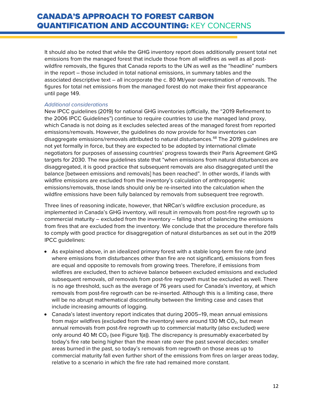It should also be noted that while the GHG inventory report does additionally present total net emissions from the managed forest that include those from all wildfires as well as all postwildfire removals, the figures that Canada reports to the UN as well as the "headline" numbers in the report – those included in total national emissions, in summary tables and the associated descriptive text – all incorporate the c. 80 Mt/year overestimation of removals. The figures for total net emissions from the managed forest do not make their first appearance until page 149.

#### *Additional considerations*

New IPCC guidelines (2019) for national GHG inventories (officially, the "2019 Refinement to the 2006 IPCC Guidelines") continue to require countries to use the managed land proxy, which Canada is not doing as it excludes selected areas of the managed forest from reported emissions/removals. However, the guidelines do now provide for how inventories can disaggregate emissions/removals attributed to natural disturbances.<sup>[68](#page-21-1)</sup> The 2019 guidelines are not yet formally in force, but they are expected to be adopted by international climate negotiators for purposes of assessing countries' progress towards their Paris Agreement GHG targets for 2030. The new guidelines state that "when emissions from natural disturbances are disaggregated, it is good practice that subsequent removals are also disaggregated until the balance [between emissions and removals] has been reached". In other words, if lands with wildfire emissions are excluded from the inventory's calculation of anthropogenic emissions/removals, those lands should only be re-inserted into the calculation when the wildfire emissions have been fully balanced by removals from subsequent tree regrowth.

Three lines of reasoning indicate, however, that NRCan's wildfire exclusion procedure, as implemented in Canada's GHG inventory, will result in removals from post-fire regrowth up to commercial maturity – excluded from the inventory – falling short of balancing the emissions from fires that are excluded from the inventory. We conclude that the procedure therefore fails to comply with good practice for disaggregation of natural disturbances as set out in the 2019 IPCC guidelines:

- As explained above, in an idealized primary forest with a stable long-term fire rate (and where emissions from disturbances other than fire are not significant), emissions from fires are equal and opposite to removals from growing trees. Therefore, if emissions from wildfires are excluded, then to achieve balance between excluded emissions and excluded subsequent removals, *all* removals from post-fire regrowth must be excluded as well. There is no age threshold, such as the average of 76 years used for Canada's inventory, at which removals from post-fire regrowth can be re-inserted. Although this is a limiting case, there will be no abrupt mathematical discontinuity between the limiting case and cases that include increasing amounts of logging.
- Canada's latest inventory report indicates that during 2005–19, mean annual emissions from major wildfires (excluded from the inventory) were around 130 Mt  $CO<sub>2</sub>$ , but mean annual removals from post-fire regrowth up to commercial maturity (also excluded) were only around 40 Mt  $CO<sub>2</sub>$  (see Figure 1(a)). The discrepancy is presumably exacerbated by today's fire rate being higher than the mean rate over the past several decades: smaller areas burned in the past, so today's removals from regrowth on those areas up to commercial maturity fall even further short of the emissions from fires on larger areas today, relative to a scenario in which the fire rate had remained more constant.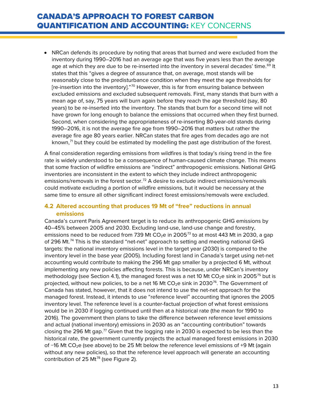• NRCan defends its procedure by noting that areas that burned and were excluded from the inventory during 1990–2016 had an average age that was five years less than the average age at which they are due to be re-inserted into the inventory in several decades' time.<sup>[69](#page-21-28)</sup> It states that this "gives a degree of assurance that, on average, most stands will be reasonably close to the predisturbance condition when they meet the age thresholds for [re-insertion into the inventory]."[70](#page-21-2) However, this is far from ensuring balance between excluded emissions and excluded subsequent removals. First, many stands that burn with a mean age of, say, 75 years will burn again before they reach the age threshold (say, 80 years) to be re-inserted into the inventory. The stands that burn for a second time will not have grown for long enough to balance the emissions that occurred when they first burned. Second, when considering the appropriateness of re-inserting 80-year-old stands during 1990–2016, it is not the average fire age from 1990–2016 that matters but rather the average fire age 80 years earlier. NRCan states that fire ages from decades ago are not known, $<sup>71</sup>$  $<sup>71</sup>$  $<sup>71</sup>$  but they could be estimated by modelling the past age distribution of the forest.</sup>

A final consideration regarding emissions from wildfires is that today's rising trend in the fire rate is widely understood to be a consequence of human-caused climate change. This means that some fraction of wildfire emissions are "indirect" anthropogenic emissions. National GHG inventories are inconsistent in the extent to which they include indirect anthropogenic emissions/removals in the forest sector.<sup>[72](#page-21-3)</sup> A desire to exclude indirect emissions/removals could motivate excluding a portion of wildfire emissions, but it would be necessary at the same time to ensure all other significant indirect forest emissions/removals were excluded.

### <span id="page-12-0"></span>**4.2 Altered accounting that produces 19 Mt of "free" reductions in annual emissions**

Canada's current Paris Agreement target is to reduce its anthropogenic GHG emissions by 40–45% between 2005 and 2030. Excluding land-use, land-use change and forestry, emissions need to be reduced from [73](#page-21-30)9 Mt  $CO<sub>2</sub>e$  in 2005<sup>73</sup> to at most 443 Mt in 2030, a gap of 296 Mt.<sup>[74](#page-21-4)</sup> This is the standard "net-net" approach to setting and meeting national GHG targets: the national inventory emissions level in the target year (2030) is compared to the inventory level in the base year (2005). Including forest land in Canada's target using net-net accounting would contribute to making the 296 Mt gap smaller by a projected 6 Mt, without implementing any new policies affecting forests. This is because, under NRCan's inventory methodology (see Section [4.1\)](#page-8-1), the managed forest was a net 10 Mt  $CO<sub>2</sub>e$  sink in 2005<sup>[75](#page-21-5)</sup> but is projected, without new policies, to be a net 16 Mt  $CO<sub>2</sub>e$  sink in 2030<sup>[76](#page-21-8)</sup>. The Government of Canada has stated, however, that it does not intend to use the net-net approach for the managed forest. Instead, it intends to use "reference level" accounting that ignores the 2005 inventory level. The reference level is a counter-factual projection of what forest emissions would be in 2030 if logging continued until then at a historical rate (the mean for 1990 to 2016). The government then plans to take the difference between reference level emissions and actual (national inventory) emissions in 2030 as an "accounting contribution" towards closing the 296 Mt gap. $^{77}$  $^{77}$  $^{77}$  Given that the logging rate in 2030 is expected to be less than the historical rate, the government currently projects the actual managed forest emissions in 2030 of -16 Mt CO<sub>2</sub>e (see above) to be 25 Mt below the reference level emissions of +9 Mt (again without any new policies), so that the reference level approach will generate an accounting contribution of 25 Mt<sup>[78](#page-21-10)</sup> (see Figure 2).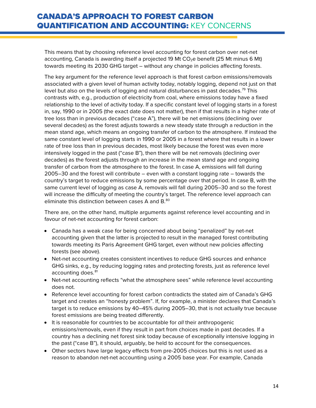This means that by choosing reference level accounting for forest carbon over net-net accounting, Canada is awarding itself a projected 19 Mt  $CO<sub>2</sub>$ e benefit (25 Mt minus 6 Mt) towards meeting its 2030 GHG target – without any change in policies affecting forests.

The key argument for the reference level approach is that forest carbon emissions/removals associated with a given level of human activity today, notably logging, depend not just on that level but also on the levels of logging and natural disturbances in past decades.<sup>[79](#page-21-32)</sup> This contrasts with, e.g., production of electricity from coal, where emissions today have a fixed relationship to the level of activity today. If a specific constant level of logging starts in a forest in, say, 1990 or in 2005 (the exact date does not matter), then if that results in a higher rate of tree loss than in previous decades ("case A"), there will be net emissions (declining over several decades) as the forest adjusts towards a new steady state through a reduction in the mean stand age, which means an ongoing transfer of carbon to the atmosphere. If instead the same constant level of logging starts in 1990 or 2005 in a forest where that results in a lower rate of tree loss than in previous decades, most likely because the forest was even more intensively logged in the past ("case B"), then there will be net removals (declining over decades) as the forest adjusts through an increase in the mean stand age and ongoing transfer of carbon from the atmosphere to the forest. In case A, emissions will fall during 2005–30 and the forest will contribute – even with a constant logging rate – towards the country's target to reduce emissions by some percentage over that period. In case B, with the same current level of logging as case A, removals will fall during 2005–30 and so the forest will increase the difficulty of meeting the country's target. The reference level approach can eliminate this distinction between cases A and B.<sup>[80](#page-21-12)</sup>

There are, on the other hand, multiple arguments against reference level accounting and in favour of net-net accounting for forest carbon:

- Canada has a weak case for being concerned about being "penalized" by net-net accounting given that the latter is projected to result in the managed forest contributing towards meeting its Paris Agreement GHG target, even without new policies affecting forests (see above).
- Net-net accounting creates consistent incentives to reduce GHG sources and enhance GHG sinks, e.g., by reducing logging rates and protecting forests, just as reference level accounting does.<sup>[81](#page-21-33)</sup>
- Net-net accounting reflects "what the atmosphere sees" while reference level accounting does not.
- Reference level accounting for forest carbon contradicts the stated aim of Canada's GHG target and creates an "honesty problem". If, for example, a minister declares that Canada's target is to reduce emissions by 40–45% during 2005–30, that is not actually true because forest emissions are being treated differently.
- It is reasonable for countries to be accountable for *all* their anthropogenic emissions/removals, even if they result in part from choices made in past decades. If a country has a declining net forest sink today because of exceptionally intensive logging in the past ("case B"), it should, arguably, be held to account for the consequences.
- Other sectors have large legacy effects from pre-2005 choices but this is not used as a reason to abandon net-net accounting using a 2005 base year. For example, Canada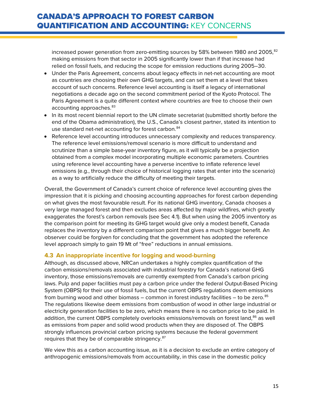increased power generation from zero-emitting sources by 58% between 1980 and 2005, $^{\mathrm{82}}$  $^{\mathrm{82}}$  $^{\mathrm{82}}$ making emissions from that sector in 2005 significantly lower than if that increase had relied on fossil fuels, and reducing the scope for emission reductions during 2005–30.

- Under the Paris Agreement, concerns about legacy effects in net-net accounting are moot as countries are choosing their own GHG targets, and can set them at a level that takes account of such concerns. Reference level accounting is itself a legacy of international negotiations a decade ago on the second commitment period of the Kyoto Protocol. The Paris Agreement is a quite different context where countries are free to choose their own accounting approaches.<sup>[83](#page-21-35)</sup>
- In its most recent biennial report to the UN climate secretariat (submitted shortly before the end of the Obama administration), the U.S., Canada's closest partner, stated its intention to use standard net-net accounting for forest carbon.<sup>[84](#page-21-14)</sup>
- Reference level accounting introduces unnecessary complexity and reduces transparency. The reference level emissions/removal scenario is more difficult to understand and scrutinize than a simple base-year inventory figure, as it will typically be a projection obtained from a complex model incorporating multiple economic parameters. Countries using reference level accounting have a perverse incentive to inflate reference level emissions (e.g., through their choice of historical logging rates that enter into the scenario) as a way to artificially reduce the difficulty of meeting their targets.

Overall, the Government of Canada's current choice of reference level accounting gives the impression that it is picking and choosing accounting approaches for forest carbon depending on what gives the most favourable result. For its national GHG inventory, Canada chooses a very large managed forest and then excludes areas affected by major wildfires, which greatly exaggerates the forest's carbon removals (see Sec [4.1\)](#page-8-1). But when using the 2005 inventory as the comparison point for meeting its GHG target would give only a modest benefit, Canada replaces the inventory by a different comparison point that gives a much bigger benefit. An observer could be forgiven for concluding that the government has adopted the reference level approach simply to gain 19 Mt of "free" reductions in annual emissions.

#### <span id="page-14-0"></span>**4.3 An inappropriate incentive for logging and wood-burning**

Although, as discussed above, NRCan undertakes a highly complex quantification of the carbon emissions/removals associated with industrial forestry for Canada's national GHG inventory, those emissions/removals are currently exempted from Canada's carbon pricing laws. Pulp and paper facilities must pay a carbon price under the federal Output-Based Pricing System (OBPS) for their use of fossil fuels, but the current OBPS regulations deem emissions from burning wood and other biomass – common in forest industry facilities – to be zero. $85$ The regulations likewise deem emissions from combustion of wood in other large industrial or electricity generation facilities to be zero, which means there is no carbon price to be paid. In addition, the current OBPS completely overlooks emissions/removals on forest land,<sup>[86](#page-21-16)</sup> as well as emissions from paper and solid wood products when they are disposed of. The OBPS strongly influences provincial carbon pricing systems because the federal government requires that they be of comparable stringency.<sup>[87](#page-21-20)</sup>

We view this as a carbon accounting issue, as it is a decision to exclude an entire category of anthropogenic emissions/removals from accountability, in this case in the domestic policy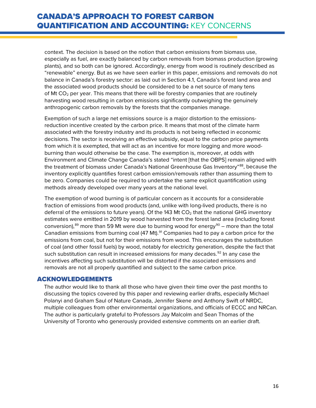context. The decision is based on the notion that carbon emissions from biomass use, especially as fuel, are exactly balanced by carbon removals from biomass production (growing plants), and so both can be ignored. Accordingly, energy from wood is routinely described as "renewable" energy. But as we have seen earlier in this paper, emissions and removals do not balance in Canada's forestry sector: as laid out in Section [4.1,](#page-8-1) Canada's forest land area and the associated wood products should be considered to be a net source of many tens of Mt  $CO<sub>2</sub>$  per year. This means that there will be forestry companies that are routinely harvesting wood resulting in carbon emissions significantly outweighing the genuinely anthropogenic carbon removals by the forests that the companies manage.

Exemption of such a large net emissions source is a major distortion to the emissionsreduction incentive created by the carbon price. It means that most of the climate harm associated with the forestry industry and its products is not being reflected in economic decisions. The sector is receiving an effective subsidy, equal to the carbon price payments from which it is exempted, that will act as an incentive for more logging and more woodburning than would otherwise be the case. The exemption is, moreover, at odds with Environment and Climate Change Canada's stated "intent [that the OBPS] remain aligned with the treatment of biomass under Canada's National Greenhouse Gas Inventory"<sup>88</sup>, because the inventory explicitly quantifies forest carbon emission/removals rather than assuming them to be zero. Companies could be required to undertake the same explicit quantification using methods already developed over many years at the national level.

The exemption of wood burning is of particular concern as it accounts for a considerable fraction of emissions from wood products (and, unlike with long-lived products, there is no deferral of the emissions to future years). Of the 143 Mt  $CO<sub>2</sub>$  that the national GHG inventory estimates were emitted in 2019 by wood harvested from the forest land area (including forest conversion), $89$  more than 59 Mt were due to burning wood for energy $89$  – more than the total Canadian emissions from burning coal (47 Mt).<sup>[91](#page-21-37)</sup> Companies had to pay a carbon price for the emissions from coal, but not for their emissions from wood. This encourages the substitution of coal (and other fossil fuels) by wood, notably for electricity generation, despite the fact that such substitution can result in increased emissions for many decades.<sup>[92](#page-21-26)</sup> In any case the incentives affecting such substitution will be distorted if the associated emissions and removals are not all properly quantified and subject to the same carbon price.

#### <span id="page-15-0"></span>ACKNOWLEDGEMENTS

The author would like to thank all those who have given their time over the past months to discussing the topics covered by this paper and reviewing earlier drafts, especially Michael Polanyi and Graham Saul of Nature Canada, Jennifer Skene and Anthony Swift of NRDC, multiple colleagues from other environmental organizations, and officials of ECCC and NRCan. The author is particularly grateful to Professors Jay Malcolm and Sean Thomas of the University of Toronto who generously provided extensive comments on an earlier draft.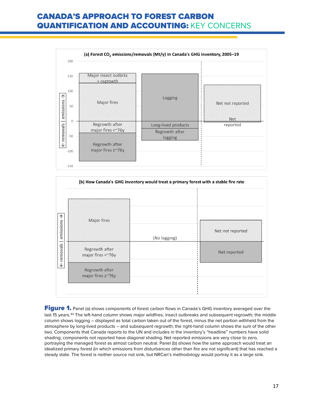



<span id="page-16-0"></span>**Figure 1.** Panel (a) shows components of forest carbon flows in Canada's GHG inventory averaged over the last 15 years.<sup>[93](#page-21-38)</sup> The left-hand column shows major wildfires, insect outbreaks and subsequent regrowth; the middle column shows logging – displayed as total carbon taken out of the forest, minus the net portion withheld from the atmosphere by long-lived products – and subsequent regrowth; the right-hand column shows the sum of the other two. Components that Canada reports to the UN and includes in the inventory's "headline" numbers have solid shading; components not reported have diagonal shading. Net reported emissions are very close to zero, portraying the managed forest as almost carbon neutral. Panel (b) shows how the same approach would treat an idealized primary forest (in which emissions from disturbances other than fire are not significant) that has reached a steady state. The forest is neither source not sink, but NRCan's methodology would portray it as a large sink.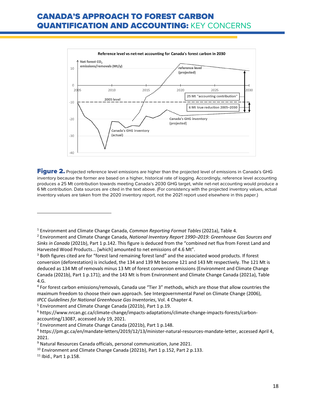

<span id="page-17-0"></span>Figure 2. Projected reference level emissions are higher than the projected level of emissions in Canada's GHG inventory because the former are based on a higher, historical rate of logging. Accordingly, reference level accounting produces a 25 Mt contribution towards meeting Canada's 2030 GHG target, while net-net accounting would produce a 6 Mt contribution. Data sources are cited in the text above. (For consistency with the projected inventory values, actual inventory values are taken from the 2020 inventory report, not the 2021 report used elsewhere in this paper.)

 $\overline{\phantom{a}}$ 

<sup>1</sup> Environment and Climate Change Canada, *Common Reporting Format Tables* (2021a), Table 4.

<sup>2</sup> Environment and Climate Change Canada, *National Inventory Report 1990–2019: Greenhouse Gas Sources and Sinks in Canada* (2021b), Part 1 p.142. This figure is deduced from the "combined net flux from Forest Land and Harvested Wood Products... [which] amounted to net emissions of 4.6 Mt".

<sup>&</sup>lt;sup>3</sup> Both figures cited are for "forest land remaining forest land" and the associated wood products. If forest conversion (deforestation) is included, the 134 and 139 Mt become 121 and 143 Mt respectively. The 121 Mt is deduced as 134 Mt of removals minus 13 Mt of forest conversion emissions (Environment and Climate Change Canada (2021b), Part 1 p.171); and the 143 Mt is from Environment and Climate Change Canada (2021a), Table 4.G.

<sup>4</sup> For forest carbon emissions/removals, Canada use "Tier 3" methods, which are those that allow countries the maximum freedom to choose their own approach. See Intergovernmental Panel on Climate Change (2006), *IPCC Guidelines for National Greenhouse Gas Inventories*, Vol. 4 Chapter 4.

<sup>5</sup> Environment and Climate Change Canada (2021b), Part 1 p.19.

<sup>6</sup> https://www.nrcan.gc.ca/climate-change/impacts-adaptations/climate-change-impacts-forests/carbonaccounting/13087, accessed July 19, 2021.

 $7$  Environment and Climate Change Canada (2021b), Part 1 p.148.

<sup>8</sup> https://pm.gc.ca/en/mandate-letters/2019/12/13/minister-natural-resources-mandate-letter, accessed April 4, 2021.

<sup>9</sup> Natural Resources Canada officials, personal communication, June 2021.

<sup>&</sup>lt;sup>10</sup> Environment and Climate Change Canada (2021b), Part 1 p.152, Part 2 p.133.

<sup>11</sup> Ibid., Part 1 p.158.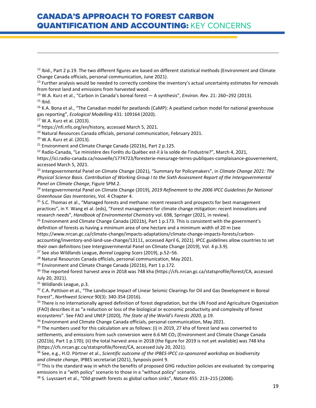$12$  Ibid., Part 2 p.19. The two different figures are based on different statistical methods (Environment and Climate Change Canada officials, personal communication, June 2021).

 $13$  Further analysis would be needed to correctly combine the inventory's actual uncertainty estimates for removals from forest land and emissions from harvested wood.

<sup>14</sup> W.A. Kurz et al., "Carbon in Canada's boreal forest — A synthesis", *Environ. Rev.* 21: 260–292 (2013).  $15$  Ibid.

<sup>16</sup> K.A. Bona et al., "The Canadian model for peatlands (CaMP): A peatland carbon model for national greenhouse gas reporting", *Ecological Modelling* 431: 109164 (2020).

<sup>17</sup> W.A. Kurz et al. (2013).

 $\overline{a}$ 

<sup>18</sup> https://nfi.nfis.org/en/history, accessed March 5, 2021.

<sup>19</sup> Natural Resources Canada officials, personal communication, February 2021.

<sup>20</sup> W.A. Kurz et al. (2013).

<sup>21</sup> Environment and Climate Change Canada (2021b), Part 2 p.125.

<sup>22</sup> Radio-Canada, "Le ministère des Forêts du Québec est-il à la solde de l'industrie?", March 4, 2021,

https://ici.radio-canada.ca/nouvelle/1774723/foresterie-mesurage-terres-publiques-complaisance-gouvernement, accessed March 5, 2021.

<sup>23</sup> Intergovernmental Panel on Climate Change (2021), "Summary for Policymakers", in *Climate Change 2021: The Physical Science Basis. Contribution of Working Group I to the Sixth Assessment Report of the Intergovernmental Panel on Climate Change*, Figure SPM.2.

<sup>24</sup> Intergovernmental Panel on Climate Change (2019), *2019 Refinement to the 2006 IPCC Guidelines for National Greenhouse Gas Inventories*, Vol. 4 Chapter 4.

 $25$  S.C. Thomas et al., "Managed forests and methane: recent research and prospects for best management practices", in Y. Wang et al. (eds), "Forest management for climate change mitigation: recent innovations and research needs", *Handbook of Environmental Chemistry* vol. 698, Springer (2021, in review).

 $26$  Environment and Climate Change Canada (2021b), Part 1 p.173. This is consistent with the government's definition of forests as having a minimum area of one hectare and a minimum width of 20 m (see

https://www.nrcan.gc.ca/climate-change/impacts-adaptations/climate-change-impacts-forests/carbonaccounting/inventory-and-land-use-change/13111, accessed April 6, 2021). IPCC guidelines allow countries to set their own definitions (see Intergovernmental Panel on Climate Change (2019), Vol. 4 p.3.9).

<sup>27</sup> See also Wildlands League, *Boreal Logging Scars* (2019), p.52–56.

<sup>28</sup> Natural Resources Canada officials, personal communication, May 2021.

 $29$  Environment and Climate Change Canada (2021b), Part 1 p.172.

<sup>30</sup> The reported forest harvest area in 2018 was 748 kha (https://cfs.nrcan.gc.ca/statsprofile/forest/CA, accessed July 20, 2021).

<sup>31</sup> Wildlands League, p.3.

<sup>32</sup> C.A. Pattison et al., "The Landscape Impact of Linear Seismic Clearings for Oil and Gas Development in Boreal Forest", *Northwest Science* 90(3): 340-354 (2016).

<sup>33</sup> There is no internationally agreed definition of forest degradation, but the UN Food and Agriculture Organization (FAO) describes it as "a reduction or loss of the biological or economic productivity and complexity of forest ecosystems". See FAO and UNEP (2020), *The State of the World's Forests 2020*, p.19.

<sup>34</sup> Environment and Climate Change Canada officials, personal communication, May 2021.

<sup>35</sup> The numbers used for this calculation are as follows: (i) in 2019, 27 kha of forest land was converted to settlements, and emissions from such conversion were 6.6 Mt  $CO<sub>2</sub>$  (Environment and Climate Change Canada (2021b), Part 1 p.170); (ii) the total harvest area in 2018 (the figure for 2019 is not yet available) was 748 kha (https://cfs.nrcan.gc.ca/statsprofile/forest/CA, accessed July 20, 2021).

<sup>36</sup> See, e.g., H.O. Pörtner et al., *Scientific outcome of the IPBES-IPCC co-sponsored workshop on biodiversity and climate change*, IPBES secretariat (2021), Synposis point 9.

<sup>37</sup> This is the standard way in which the benefits of proposed GHG reduction policies are evaluated: by comparing emissions in a "with policy" scenario to those in a "without policy" scenario.

<sup>38</sup> S. Luyssaert et al., "Old-growth forests as global carbon sinks", *Nature* 455: 213–215 (2008).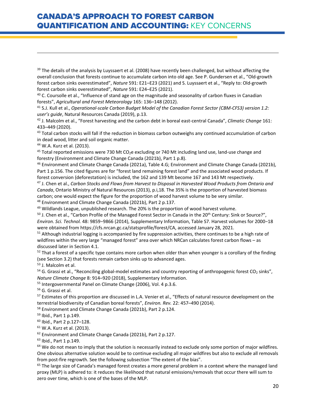$39$  The details of the analysis by Luyssaert et al. (2008) have recently been challenged, but without affecting the overall conclusion that forests continue to accumulate carbon into old age. See P. Gundersen et al., "Old-growth forest carbon sinks overestimated", *Nature* 591: E21–E23 (2021) and S. Luyssaert et al., "Reply to: Old-growth forest carbon sinks overestimated", *Nature* 591: E24–E25 (2021).

 $40$  C. Coursolle et al., "Influence of stand age on the magnitude and seasonality of carbon fluxes in Canadian forests", *Agricultural and Forest Meteorology* 165: 136–148 (2012).

<sup>41</sup> S.J. Kull et al., *Operational-scale Carbon Budget Model of the Canadian Forest Sector (CBM-CFS3) version 1.2: user's guide*, Natural Resources Canada (2019), p.13.

<sup>42</sup> J. Malcolm et al., "Forest harvesting and the carbon debt in boreal east-central Canada", *Climatic Change* 161: 433–449 (2020).

<sup>43</sup> Total carbon stocks will fall if the reduction in biomass carbon outweighs any continued accumulation of carbon in dead wood, litter and soil organic matter.

<sup>44</sup> W.A. Kurz et al. (2013).

 $\overline{a}$ 

<sup>45</sup> Total reported emissions were 730 Mt CO<sub>2</sub>e excluding or 740 Mt including land use, land-use change and forestry (Environment and Climate Change Canada (2021b), Part 1 p.8).

<sup>46</sup> Environment and Climate Change Canada (2021a), Table 4.G; Environment and Climate Change Canada (2021b), Part 1 p.156. The cited figures are for "forest land remaining forest land" and the associated wood products. If forest conversion (deforestation) is included, the 162 and 139 Mt become 167 and 143 Mt respectively.

<sup>47</sup> J. Chen et al., *Carbon Stocks and Flows from Harvest to Disposal in Harvested Wood Products from Ontario and Canada*, Ontario Ministry of Natural Resources (2013), p.i,18. The 35% is the proportion of harvested biomass carbon; one would expect the figure for the proportion of wood harvest volume to be very similar. <sup>48</sup> Environment and Climate Change Canada (2021b), Part 2 p.137.

 $49$  Wildlands League, unpublished research. The 20% is the proportion of wood harvest volume.

<sup>50</sup> J. Chen et al., "Carbon Profile of the Managed Forest Sector in Canada in the 20<sup>th</sup> Century: Sink or Source?", *Environ. Sci. Technol.* 48: 9859−9866 (2014), Supplementary Information, Table S7. Harvest volumes for 2000−18 were obtained from https://cfs.nrcan.gc.ca/statsprofile/forest/CA, accessed January 28, 2021.

<span id="page-19-1"></span><span id="page-19-0"></span> $51$  Although industrial logging is accompanied by fire suppression activities, there continues to be a high rate of wildfires within the very large "managed forest" area over which NRCan calculates forest carbon flows – as discussed later in Sectio[n 4.1.](#page-8-1)

<sup>52</sup> That a forest of a specific type contains more carbon when older than when younger is a corollary of the finding (see Sectio[n 3.2\)](#page-7-0) that forests remain carbon sinks up to advanced ages.

<span id="page-19-2"></span><sup>53</sup> J. Malcolm et al.

 $54$  G. Grassi et al., "Reconciling global-model estimates and country reporting of anthropogenic forest CO<sub>2</sub> sinks", *Nature Climate Change* 8: 914–920 (2018), Supplementary Information.

<sup>55</sup> Intergovernmental Panel on Climate Change (2006), Vol. 4 p.3.6.

<span id="page-19-3"></span><sup>56</sup> G. Grassi et al.

<sup>57</sup> Estimates of this proportion are discussed in L.A. Venier et al., "Effects of natural resource development on the terrestrial biodiversity of Canadian boreal forests", *Environ. Rev.* 22: 457–490 (2014).

<span id="page-19-4"></span><sup>58</sup> Environment and Climate Change Canada (2021b), Part 2 p.124.

<span id="page-19-5"></span><sup>59</sup> Ibid., Part 1 p.149.

<sup>60</sup> Ibid., Part 2 p.127–128.

<span id="page-19-6"></span><sup>61</sup> W.A. Kurz et al. (2013).

<span id="page-19-7"></span><sup>62</sup> Environment and Climate Change Canada (2021b), Part 2 p.127.

<sup>63</sup> Ibid., Part 1 p.149.

<span id="page-19-9"></span><span id="page-19-8"></span> $64$  We do not mean to imply that the solution is necessarily instead to exclude only some portion of major wildfires. One obvious alternative solution would be to continue excluding all major wildfires but also to exclude all removals from post-fire regrowth. See the following subsection "The extent of the bias".

<span id="page-19-10"></span> $65$  The large size of Canada's managed forest creates a more general problem in a context where the managed land proxy (MLP) is adhered to: it reduces the likelihood that natural emissions/removals that occur there will sum to zero over time, which is one of the bases of the MLP.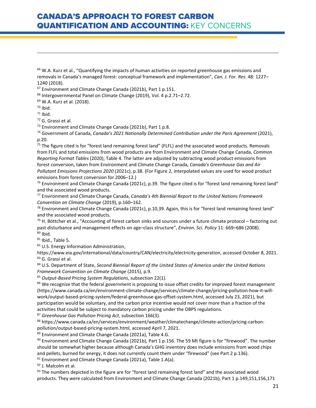<span id="page-20-1"></span><sup>67</sup> Environment and Climate Change Canada (2021b), Part 1 p.151.

<span id="page-20-2"></span><sup>68</sup> Intergovernmental Panel on Climate Change (2019), Vol. 4 p.2.71–2.72.

<span id="page-20-3"></span><sup>69</sup> W.A. Kurz et al. (2018).

<span id="page-20-4"></span> $70$  Ibid.

 $\overline{a}$ 

 $71$  Ibid.

<span id="page-20-5"></span><sup>72</sup> G. Grassi et al.

<span id="page-20-6"></span><sup>73</sup> Environment and Climate Change Canada (2021b), Part 1 p.8.

<span id="page-20-7"></span><sup>74</sup> Government of Canada, *Canada's 2021 Nationally Determined Contribution under the Paris Agreement* (2021), p.20.

<span id="page-20-10"></span><span id="page-20-9"></span><span id="page-20-8"></span> $75$  The figure cited is for "forest land remaining forest land" (FLFL) and the associated wood products. Removals from FLFL and total emissions from wood products are from Environment and Climate Change Canada, *Common Reporting Format Tables* (2020), Table 4. The latter are adjusted by subtracting wood product emissions from forest conversion, taken from Environment and Climate Change Canada, *Canada's Greenhouse Gas and Air Pollutant Emissions Projections 2020* (2021c), p.38. (For Figure 2, interpolated values are used for wood product emissions from forest conversion for 2006–12.)

<span id="page-20-11"></span> $76$  Environment and Climate Change Canada (2021c), p.39. The figure cited is for "forest land remaining forest land" and the associated wood products.

<span id="page-20-12"></span><sup>77</sup> Environment and Climate Change Canada, *Canada's 4th Biennial Report to the United Nations Framework Convention on Climate Change* (2019), p.160–162.

<span id="page-20-13"></span><sup>78</sup> Environment and Climate Change Canada (2021c), p.10,39. Again, this is for "forest land remaining forest land" and the associated wood products.

<span id="page-20-14"></span> $79$  H. Böttcher et al., "Accounting of forest carbon sinks and sources under a future climate protocol – factoring out past disturbance and management effects on age–class structure", *Environ. Sci. Policy* 11: 669–686 (2008).  $80$  Ibid.

81 Ibid., Table 5.

82 U.S. Energy Information Administration,

<span id="page-20-15"></span>https://www.eia.gov/international/data/country/CAN/electricity/electricity-generation, accessed October 8, 2021. 83 G. Grassi et al.

<span id="page-20-17"></span><span id="page-20-16"></span><sup>84</sup> U.S. Department of State, *Second Biennial Report of the United States of America under the United Nations Framework Convention on Climate Change* (2015), p.9.

<span id="page-20-18"></span><sup>85</sup> *Output-Based Pricing System Regulations*, subsection 22(1).

<span id="page-20-20"></span><span id="page-20-19"></span><sup>86</sup> We recognize that the federal government is proposing to issue offset credits for improved forest management (https://www.canada.ca/en/environment-climate-change/services/climate-change/pricing-pollution-how-it-willwork/output-based-pricing-system/federal-greenhouse-gas-offset-system.html, accessed July 23, 2021), but participation would be voluntary, and the carbon price incentive would not cover more than a fraction of the activities that could be subject to mandatory carbon pricing under the OBPS regulations.

<span id="page-20-21"></span><sup>87</sup> *Greenhouse Gas Pollution Pricing Act*, subsection 166(3).

<span id="page-20-22"></span><sup>88</sup> https://www.canada.ca/en/services/environment/weather/climatechange/climate-action/pricing-carbonpollution/output-based-pricing-system.html, accessed April 7, 2021.

<span id="page-20-23"></span>89 Environment and Climate Change Canada (2021a), Table 4.G.

90 Environment and Climate Change Canada (2021b), Part 1 p.156. The 59 Mt figure is for "firewood". The number should be somewhat higher because although Canada's GHG inventory does include emissions from wood chips and pellets, burned for energy, it does not currently count them under "firewood" (see Part 2 p.136).

<span id="page-20-24"></span> $91$  Environment and Climate Change Canada (2021a), Table 1.A(a).

<span id="page-20-25"></span><sup>92</sup> J. Malcolm et al.

<span id="page-20-26"></span>93 The numbers depicted in the figure are for "forest land remaining forest land" and the associated wood products. They were calculated from Environment and Climate Change Canada (2021b), Part 1 p.149,151,156,171

<span id="page-20-0"></span><sup>&</sup>lt;sup>66</sup> W.A. Kurz et al., "Quantifying the impacts of human activities on reported greenhouse gas emissions and removals in Canada's managed forest: conceptual framework and implementation", *Can. J. For. Res.* 48: 1227– 1240 (2018).